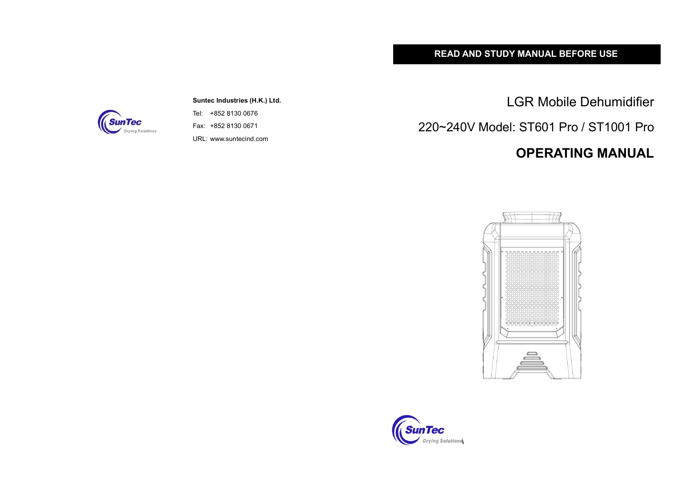## **READ AND STUDY MANUAL BEFORE USE**

**Suntec Industries (H.K.) Ltd.** Tel: +852 8130 0676 Fax: +852 8130 0671

URL: www.suntecind.com

LGR Mobile Dehumidifier

220~240V Model: ST601 Pro / ST1001 Pro

## **OPERATING MANUAL**





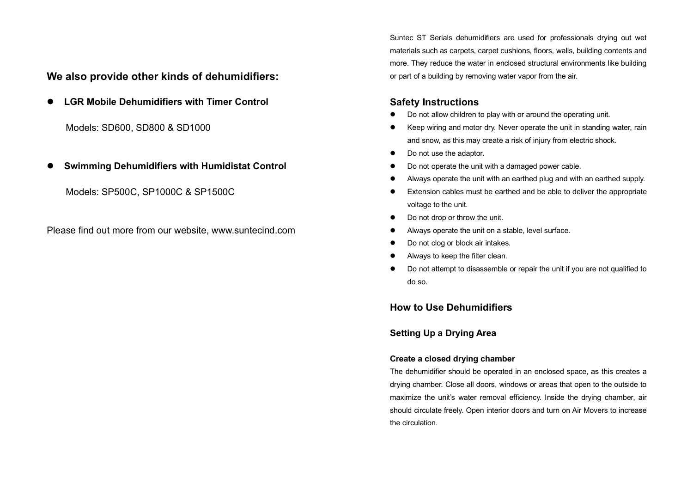**We also provide other kinds of dehumidifiers:**

**• LGR Mobile Dehumidifiers with Timer Control** 

Models: SD600, SD800 & SD1000

l **Swimming Dehumidifiers with Humidistat Control**

Models: SP500C, SP1000C & SP1500C

Please find out more from our website, www.suntecind.com

Suntec ST Serials dehumidifiers are used for professionals drying out wet materials such as carpets, carpet cushions, floors, walls, building contents and more. They reduce the water in enclosed structural environments like building or part of a building by removing water vapor from the air.

## **Safety Instructions**

- Do not allow children to play with or around the operating unit.
- Keep wiring and motor dry. Never operate the unit in standing water, rain and snow, as this may create a risk of injury from electric shock.
- Do not use the adaptor.
- Do not operate the unit with a damaged power cable.
- l Always operate the unit with an earthed plug and with an earthed supply.
- Extension cables must be earthed and be able to deliver the appropriate voltage to the unit.
- Do not drop or throw the unit.
- Always operate the unit on a stable, level surface.
- Do not clog or block air intakes.
- Always to keep the filter clean.
- Do not attempt to disassemble or repair the unit if you are not qualified to do so.

## **How to Use Dehumidifiers**

#### **Setting Up a Drying Area**

#### **Create a closed drying chamber**

The dehumidifier should be operated in an enclosed space, as this creates a drying chamber. Close all doors, windows or areas that open to the outside to maximize the unit's water removal efficiency. Inside the drying chamber, air should circulate freely. Open interior doors and turn on Air Movers to increase the circulation.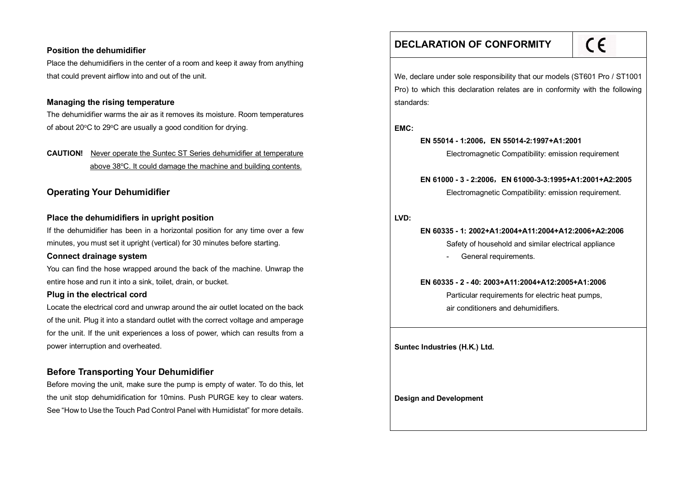#### **Position the dehumidifier**

Place the dehumidifiers in the center of a room and keep it away from anything that could prevent airflow into and out of the unit.

#### **Managing the rising temperature**

The dehumidifier warms the air as it removes its moisture. Room temperatures of about 20°C to 29°C are usually a good condition for drying.

## **CAUTION!** Never operate the Suntec ST Series dehumidifier at temperature above 38°C. It could damage the machine and building contents.

## **Operating Your Dehumidifier**

#### **Place the dehumidifiers in upright position**

If the dehumidifier has been in a horizontal position for any time over a few minutes, you must set it upright (vertical) for 30 minutes before starting.

#### **Connect drainage system**

You can find the hose wrapped around the back of the machine. Unwrap the entire hose and run it into a sink, toilet, drain, or bucket.

#### **Plug in the electrical cord**

Locate the electrical cord and unwrap around the air outlet located on the back of the unit. Plug it into a standard outlet with the correct voltage and amperage for the unit. If the unit experiences a loss of power, which can results from a power interruption and overheated.

## **Before Transporting Your Dehumidifier**

Before moving the unit, make sure the pump is empty of water. To do this, let the unit stop dehumidification for 10mins. Push PURGE key to clear waters. See "How to Use the Touch Pad Control Panel with Humidistat" for more details.

## **DECLARATION OF CONFORMITY**

# $C<sub>1</sub>$

We, declare under sole responsibility that our models (ST601 Pro / ST1001 Pro) to which this declaration relates are in conformity with the following standards:

**EMC:**

#### **EN 55014 - 1:2006**,**EN 55014-2:1997+A1:2001**

Electromagnetic Compatibility: emission requirement

#### **EN 61000 - 3 - 2:2006**,**EN 61000-3-3:1995+A1:2001+A2:2005**

Electromagnetic Compatibility: emission requirement.

#### **LVD:**

## **EN 60335 - 1: 2002+A1:2004+A11:2004+A12:2006+A2:2006**

Safety of household and similar electrical appliance

- General requirements.

**EN 60335 - 2 - 40: 2003+A11:2004+A12:2005+A1:2006**

Particular requirements for electric heat pumps, air conditioners and dehumidifiers.

**Suntec Industries (H.K.) Ltd.**

**Design and Development**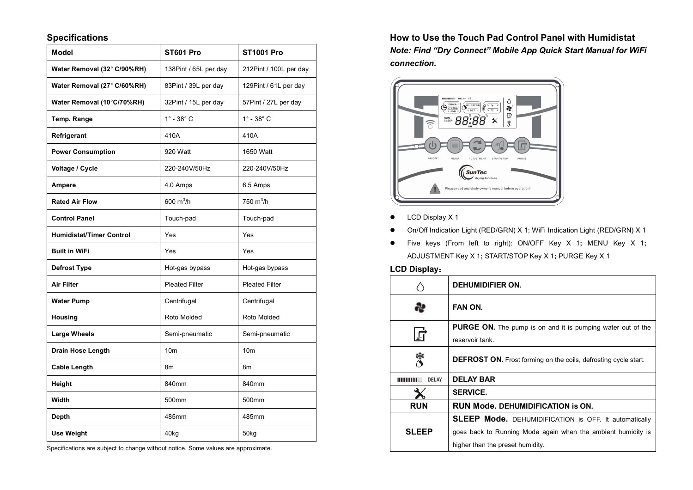## **Specifications**

| <b>Model</b>                    | ST601 Pro                 | <b>ST1001 Pro</b>         |
|---------------------------------|---------------------------|---------------------------|
| Water Removal (32° C/90%RH)     | 138Pint / 65L per day     | 212Pint / 100L per day    |
| Water Removal (27° C/60%RH)     | 83Pint / 39L per day      | 129Pint / 61L per day     |
| Water Removal (10°C/70%RH)      | 32Pint / 15L per day      | 57Pint / 27L per day      |
| Temp. Range                     | $1^\circ$ - 38 $^\circ$ C | $1^\circ$ - 38 $^\circ$ C |
| Refrigerant                     | 410A                      | 410A                      |
| <b>Power Consumption</b>        | 920 Watt                  | 1650 Watt                 |
| Voltage / Cycle                 | 220-240V/50Hz             | 220-240V/50Hz             |
| <b>Ampere</b>                   | 4.0 Amps                  | 6.5 Amps                  |
| <b>Rated Air Flow</b>           | 600 $m^3/h$               | 750 $m^3/h$               |
| <b>Control Panel</b>            | Touch-pad                 | Touch-pad                 |
| <b>Humidistat/Timer Control</b> | Yes                       | Yes                       |
| <b>Built in WiFi</b>            | Yes                       | Yes                       |
| Defrost Type                    | Hot-gas bypass            | Hot-gas bypass            |
| Air Filter                      | <b>Pleated Filter</b>     | <b>Pleated Filter</b>     |
| <b>Water Pump</b>               | Centrifugal               | Centrifugal               |
| Housing                         | Roto Molded               | Roto Molded               |
| <b>Large Wheels</b>             | Semi-pneumatic            | Semi-pneumatic            |
| <b>Drain Hose Length</b>        | 10 <sub>m</sub>           | 10 <sub>m</sub>           |
| <b>Cable Length</b>             | 8m                        | 8m                        |
| Height                          | 840mm                     | 840mm                     |
| Width                           | 500mm                     | 500mm                     |
| Depth                           | 485mm                     | 485mm                     |
| <b>Use Weight</b>               | 40kg                      | 50 <sub>kg</sub>          |

Specifications are subject to change without notice. Some values are approximate.

**How to Use the Touch Pad Control Panel with Humidistat** *Note: Find "Dry Connect" Mobile App Quick Start Manual for WiFi connection.* 



- $\bullet$  LCD Display X 1
- l On/Off Indication Light (RED/GRN) X 1; WiFi Indication Light (RED/GRN) X 1
- l Five keys (From left to right): ON/OFF Key X 1**;** MENU Key X 1**;**  ADJUSTMENT Key X 1**;** START/STOP Key X 1**;** PURGE Key X 1

#### **LCD Display**:

|              | DEHUMIDIFIER ON.                                                       |
|--------------|------------------------------------------------------------------------|
|              | FAN ON.                                                                |
|              | <b>PURGE ON.</b> The pump is on and it is pumping water out of the     |
|              | reservoir tank.                                                        |
|              | <b>DEFROST ON.</b> Frost forming on the coils, defrosting cycle start. |
| DELAY        | <b>DELAY BAR</b>                                                       |
|              | <b>SERVICE.</b>                                                        |
| <b>RUN</b>   | <b>RUN Mode. DEHUMIDIFICATION is ON.</b>                               |
|              | SLEEP Mode. DEHUMIDIFICATION is OFF. It automatically                  |
| <b>SLEEP</b> | goes back to Running Mode again when the ambient humidity is           |
|              | higher than the preset humidity.                                       |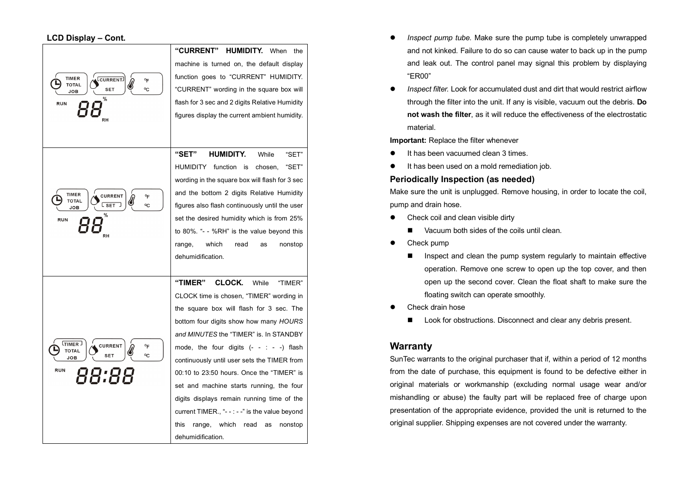| <b>TIMER</b><br>CURRENT<br>°F<br><b>TOTAL</b><br>°C<br><b>SET</b><br><b>JOB</b><br>%<br><b>RUN</b><br>RH                             | <b>"CURRENT"</b><br>HUMIDITY.<br>When<br>the<br>machine is turned on, the default display<br>function goes to "CURRENT" HUMIDITY.<br>"CURRENT" wording in the square box will<br>flash for 3 sec and 2 digits Relative Humidity<br>figures display the current ambient humidity.                                                                                                                                                                                                                                                                                             |
|--------------------------------------------------------------------------------------------------------------------------------------|------------------------------------------------------------------------------------------------------------------------------------------------------------------------------------------------------------------------------------------------------------------------------------------------------------------------------------------------------------------------------------------------------------------------------------------------------------------------------------------------------------------------------------------------------------------------------|
| <b>TIMER</b><br><b>CURRENT</b><br>°F<br><b>TOTAL</b><br>$\overline{\mathsf{L}\, \mathsf{SET}}$<br>°C<br>JOB<br>%<br><b>RUN</b><br>RH | "SET"<br>HUMIDITY.<br>While<br>"SET"<br>"SET"<br><b>HUMIDITY</b><br>function<br>chosen,<br>is<br>wording in the square box will flash for 3 sec<br>and the bottom 2 digits Relative Humidity<br>figures also flash continuously until the user<br>set the desired humidity which is from 25%<br>to 80%. "- - %RH" is the value beyond this<br>which<br>read<br>nonstop<br>range,<br>as<br>dehumidification.                                                                                                                                                                  |
| <b>LTIMER</b><br><b>CURRENT</b><br>°F<br><b>TOTAL</b><br>°C<br><b>SET</b><br>JOB<br><b>RUN</b><br>88:88                              | "TIMER"<br>CLOCK.<br>While<br>"TIMER"<br>CLOCK time is chosen, "TIMER" wording in<br>the square box will flash for 3 sec. The<br>bottom four digits show how many HOURS<br>and MINUTES the "TIMER" is. In STANDBY<br>mode, the four digits $(- - : -)$ flash<br>continuously until user sets the TIMER from<br>00:10 to 23:50 hours. Once the "TIMER" is<br>set and machine starts running, the four<br>digits displays remain running time of the<br>current TIMER., "- $  -$ " is the value beyond<br>this<br>which<br>range,<br>read<br>as<br>nonstop<br>dehumidification |

- **•** *Inspect pump tube.* Make sure the pump tube is completely unwrapped and not kinked. Failure to do so can cause water to back up in the pump and leak out. The control panel may signal this problem by displaying "ER00"
- **•** Inspect filter. Look for accumulated dust and dirt that would restrict airflow through the filter into the unit. If any is visible, vacuum out the debris. **Do not wash the filter**, as it will reduce the effectiveness of the electrostatic material.

**Important:** Replace the filter whenever

- It has been vacuumed clean 3 times.
- It has been used on a mold remediation job.

#### **Periodically Inspection (as needed)**

Make sure the unit is unplugged. Remove housing, in order to locate the coil, pump and drain hose.

- $\bullet$  Check coil and clean visible dirty
	- Vacuum both sides of the coils until clean.
- Check pump
	- $\blacksquare$  Inspect and clean the pump system regularly to maintain effective operation. Remove one screw to open up the top cover, and then open up the second cover. Clean the float shaft to make sure the floating switch can operate smoothly.
- Check drain hose
	- $\blacksquare$  Look for obstructions. Disconnect and clear any debris present.

## **Warranty**

SunTec warrants to the original purchaser that if, within a period of 12 months from the date of purchase, this equipment is found to be defective either in original materials or workmanship (excluding normal usage wear and/or mishandling or abuse) the faulty part will be replaced free of charge upon presentation of the appropriate evidence, provided the unit is returned to the original supplier. Shipping expenses are not covered under the warranty.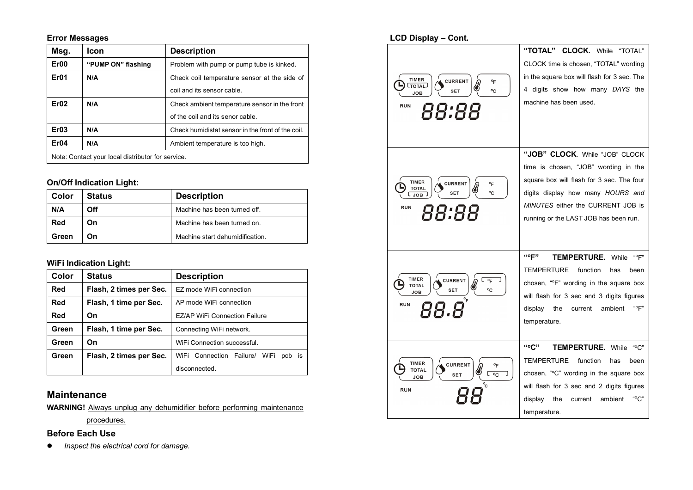## **Error Messages**

| Msg.                                              | Icon               | <b>Description</b>                                |
|---------------------------------------------------|--------------------|---------------------------------------------------|
| Er <sub>00</sub>                                  | "PUMP ON" flashing | Problem with pump or pump tube is kinked.         |
| Er01                                              | N/A                | Check coil temperature sensor at the side of      |
|                                                   |                    | coil and its sensor cable.                        |
| Er02                                              | N/A                | Check ambient temperature sensor in the front     |
|                                                   |                    | of the coil and its senor cable.                  |
| E <sub>r</sub> 03                                 | N/A                | Check humidistat sensor in the front of the coil. |
| Er04                                              | N/A                | Ambient temperature is too high.                  |
| Note: Contact your local distributor for service. |                    |                                                   |

## **On/Off Indication Light:**

| Color | <b>Status</b> | <b>Description</b>              |
|-------|---------------|---------------------------------|
| N/A   | Off           | Machine has been turned off.    |
| Red   | On            | Machine has been turned on.     |
| Green | On            | Machine start dehumidification. |

## **WiFi Indication Light:**

| Color | <b>Status</b>           | <b>Description</b>                      |
|-------|-------------------------|-----------------------------------------|
| Red   | Flash, 2 times per Sec. | EZ mode WiFi connection                 |
| Red   | Flash, 1 time per Sec.  | AP mode WiFi connection                 |
| Red   | On                      | EZ/AP WiFi Connection Failure           |
| Green | Flash, 1 time per Sec.  | Connecting WiFi network.                |
| Green | On                      | WiFi Connection successful.             |
| Green | Flash, 2 times per Sec. | WiFi Connection Failure/ WiFi<br>pcb is |
|       |                         | disconnected.                           |

## **Maintenance**

**WARNING!** Always unplug any dehumidifier before performing maintenance

procedures.

## **Before Each Use**

 $\bullet$  Inspect the electrical cord for damage.

| <b>LCD Display - Cont.</b>                                                                                             |                                                                                                                                                                                                                                                 |
|------------------------------------------------------------------------------------------------------------------------|-------------------------------------------------------------------------------------------------------------------------------------------------------------------------------------------------------------------------------------------------|
| <b>TIMER</b><br><b>CURRENT</b><br>°F<br><b>CTOTAL</b><br>°C<br><b>SET</b><br><b>JOB</b><br><b>RUN</b><br>88:88         | "TOTAL" CLOCK. While "TOTAL"<br>CLOCK time is chosen, "TOTAL" wording<br>in the square box will flash for 3 sec. The<br>4 digits show how many DAYS the<br>machine has been used.                                                               |
| <b>TIMER</b><br><b>CURRENT</b><br>°F<br><b>TOTAL</b><br>°C<br><b>SET</b><br><b>JOB</b><br><b>RUN</b><br>88:88          | "JOB" CLOCK. While "JOB" CLOCK<br>time is chosen, "JOB" wording in the<br>square box will flash for 3 sec. The four<br>digits display how many HOURS and<br>MINUTES either the CURRENT JOB is<br>running or the LAST JOB has been run.          |
| <b>TIMER</b><br><b>CURRENT</b><br>$^{\circ}$ F<br><b>TOTAL</b><br>°C<br><b>SET</b><br><b>JOB</b><br><b>RUN</b><br>88.8 | "°F"<br><b>TEMPERTURE.</b> While<br>"°F"<br><b>TEMPERTURE</b><br>function<br>has<br>been<br>chosen, "°F" wording in the square box<br>will flash for 3 sec and 3 digits figures<br>"°F"<br>display<br>the<br>ambient<br>current<br>temperature. |
| <b>TIMER</b><br><b>CURRENT</b><br>℉<br><b>TOTAL</b><br>∟ ∘c<br><b>SET</b><br>JOB<br><b>RUN</b>                         | "°C"<br><b>TEMPERTURE.</b> While<br>"°C"<br><b>TEMPERTURE</b><br>function<br>been<br>has<br>chosen, "°C" wording in the square box<br>will flash for 3 sec and 2 digits figures<br>"°С"<br>display<br>the<br>current<br>ambient<br>temperature. |